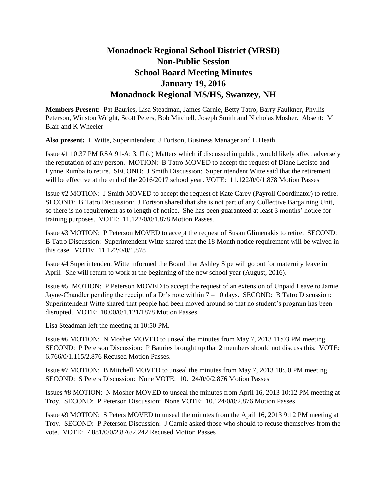## **Monadnock Regional School District (MRSD) Non-Public Session School Board Meeting Minutes January 19, 2016 Monadnock Regional MS/HS, Swanzey, NH**

**Members Present:** Pat Bauries, Lisa Steadman, James Carnie, Betty Tatro, Barry Faulkner, Phyllis Peterson, Winston Wright, Scott Peters, Bob Mitchell, Joseph Smith and Nicholas Mosher. Absent: M Blair and K Wheeler

**Also present:** L Witte, Superintendent, J Fortson, Business Manager and L Heath.

Issue #1 10:37 PM RSA 91-A: 3, II (c) Matters which if discussed in public, would likely affect adversely the reputation of any person. MOTION: B Tatro MOVED to accept the request of Diane Lepisto and Lynne Rumba to retire. SECOND: J Smith Discussion: Superintendent Witte said that the retirement will be effective at the end of the 2016/2017 school year. VOTE:  $11.122/0/0/1.878$  Motion Passes

Issue #2 MOTION: J Smith MOVED to accept the request of Kate Carey (Payroll Coordinator) to retire. SECOND: B Tatro Discussion: J Fortson shared that she is not part of any Collective Bargaining Unit, so there is no requirement as to length of notice. She has been guaranteed at least 3 months' notice for training purposes. VOTE: 11.122/0/0/1.878 Motion Passes.

Issue #3 MOTION: P Peterson MOVED to accept the request of Susan Glimenakis to retire. SECOND: B Tatro Discussion: Superintendent Witte shared that the 18 Month notice requirement will be waived in this case. VOTE: 11.122/0/0/1.878

Issue #4 Superintendent Witte informed the Board that Ashley Sipe will go out for maternity leave in April. She will return to work at the beginning of the new school year (August, 2016).

Issue #5 MOTION: P Peterson MOVED to accept the request of an extension of Unpaid Leave to Jamie Jayne-Chandler pending the receipt of a Dr's note within 7 – 10 days. SECOND: B Tatro Discussion: Superintendent Witte shared that people had been moved around so that no student's program has been disrupted. VOTE: 10.00/0/1.121/1878 Motion Passes.

Lisa Steadman left the meeting at 10:50 PM.

Issue #6 MOTION: N Mosher MOVED to unseal the minutes from May 7, 2013 11:03 PM meeting. SECOND: P Peterson Discussion: P Bauries brought up that 2 members should not discuss this. VOTE: 6.766/0/1.115/2.876 Recused Motion Passes.

Issue #7 MOTION: B Mitchell MOVED to unseal the minutes from May 7, 2013 10:50 PM meeting. SECOND: S Peters Discussion: None VOTE: 10.124/0/0/2.876 Motion Passes

Issues #8 MOTION: N Mosher MOVED to unseal the minutes from April 16, 2013 10:12 PM meeting at Troy. SECOND: P Peterson Discussion: None VOTE: 10.124/0/0/2.876 Motion Passes

Issue #9 MOTION: S Peters MOVED to unseal the minutes from the April 16, 2013 9:12 PM meeting at Troy. SECOND: P Peterson Discussion: J Carnie asked those who should to recuse themselves from the vote. VOTE: 7.881/0/0/2.876/2.242 Recused Motion Passes